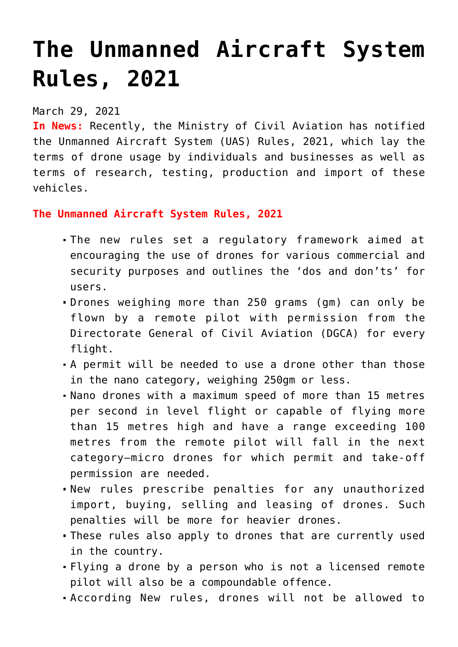# **[The Unmanned Aircraft System](https://journalsofindia.com/the-unmanned-aircraft-system-rules-2021/) [Rules, 2021](https://journalsofindia.com/the-unmanned-aircraft-system-rules-2021/)**

# March 29, 2021

**In News:** Recently, the Ministry of Civil Aviation has notified the Unmanned Aircraft System (UAS) Rules, 2021, which lay the terms of drone usage by individuals and businesses as well as terms of research, testing, production and import of these vehicles.

### **The Unmanned Aircraft System Rules, 2021**

- The new rules set a regulatory framework aimed at encouraging the use of drones for various commercial and security purposes and outlines the 'dos and don'ts' for users.
- Drones weighing more than 250 grams (gm) can only be flown by a remote pilot with permission from the Directorate General of Civil Aviation (DGCA) for every flight.
- A permit will be needed to use a drone other than those in the nano category, weighing 250gm or less.
- Nano drones with a maximum speed of more than 15 metres per second in level flight or capable of flying more than 15 metres high and have a range exceeding 100 metres from the remote pilot will fall in the next category—micro drones for which permit and take-off permission are needed.
- New rules prescribe penalties for any unauthorized import, buying, selling and leasing of drones. Such penalties will be more for heavier drones.
- These rules also apply to drones that are currently used in the country.
- Flying a drone by a person who is not a licensed remote pilot will also be a compoundable offence.
- According New rules, drones will not be allowed to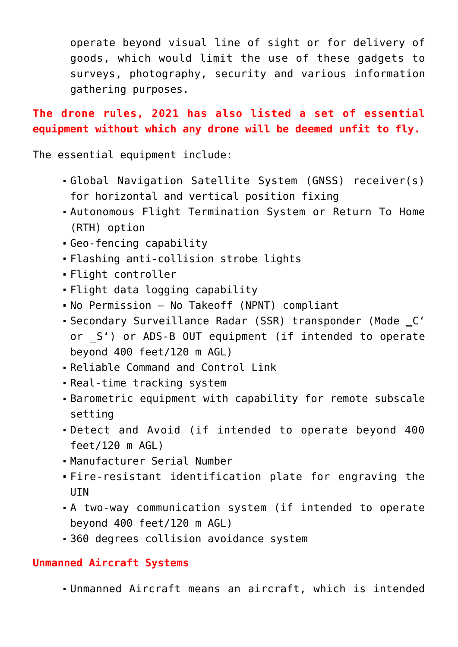operate beyond visual line of sight or for delivery of goods, which would limit the use of these gadgets to surveys, photography, security and various information gathering purposes.

**The drone rules, 2021 has also listed a set of essential equipment without which any drone will be deemed unfit to fly.**

The essential equipment include:

- Global Navigation Satellite System (GNSS) receiver(s) for horizontal and vertical position fixing
- Autonomous Flight Termination System or Return To Home (RTH) option
- Geo-fencing capability
- Flashing anti-collision strobe lights
- Flight controller
- Flight data logging capability
- No Permission No Takeoff (NPNT) compliant
- Secondary Surveillance Radar (SSR) transponder (Mode \_C' or  $\leq$  ') or ADS-B OUT equipment (if intended to operate beyond 400 feet/120 m AGL)
- Reliable Command and Control Link
- Real-time tracking system
- Barometric equipment with capability for remote subscale setting
- Detect and Avoid (if intended to operate beyond 400 feet/120 m AGL)
- Manufacturer Serial Number
- Fire-resistant identification plate for engraving the UIN
- A two-way communication system (if intended to operate beyond 400 feet/120 m AGL)
- 360 degrees collision avoidance system

## **Unmanned Aircraft Systems**

Unmanned Aircraft means an aircraft, which is intended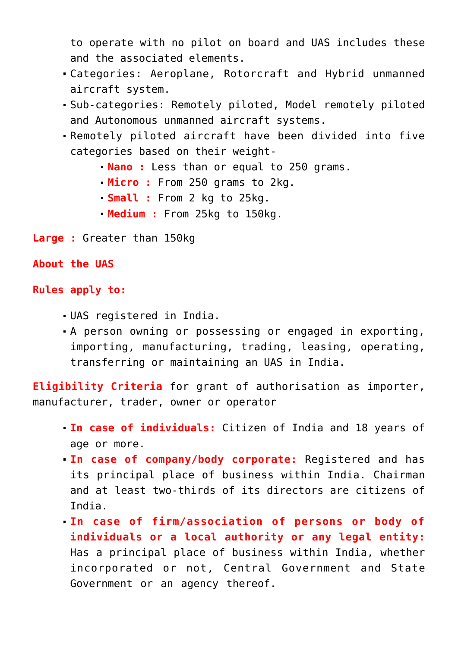to operate with no pilot on board and UAS includes these and the associated elements.

- Categories: Aeroplane, Rotorcraft and Hybrid unmanned aircraft system.
- Sub-categories: Remotely piloted, Model remotely piloted and Autonomous unmanned aircraft systems.
- Remotely piloted aircraft have been divided into five categories based on their weight-
	- **Nano :** Less than or equal to 250 grams.
	- **Micro :** From 250 grams to 2kg.
	- **Small :** From 2 kg to 25kg.
	- **Medium :** From 25kg to 150kg.
- **Large :** Greater than 150kg

#### **About the UAS**

#### **Rules apply to:**

- UAS registered in India.
- A person owning or possessing or engaged in exporting, importing, manufacturing, trading, leasing, operating, transferring or maintaining an UAS in India.

**Eligibility Criteria** for grant of authorisation as importer, manufacturer, trader, owner or operator

- **In case of individuals:** Citizen of India and 18 years of age or more.
- **In case of company/body corporate:** Registered and has its principal place of business within India. Chairman and at least two-thirds of its directors are citizens of India.
- **In case of firm/association of persons or body of individuals or a local authority or any legal entity:** Has a principal place of business within India, whether incorporated or not, Central Government and State Government or an agency thereof.